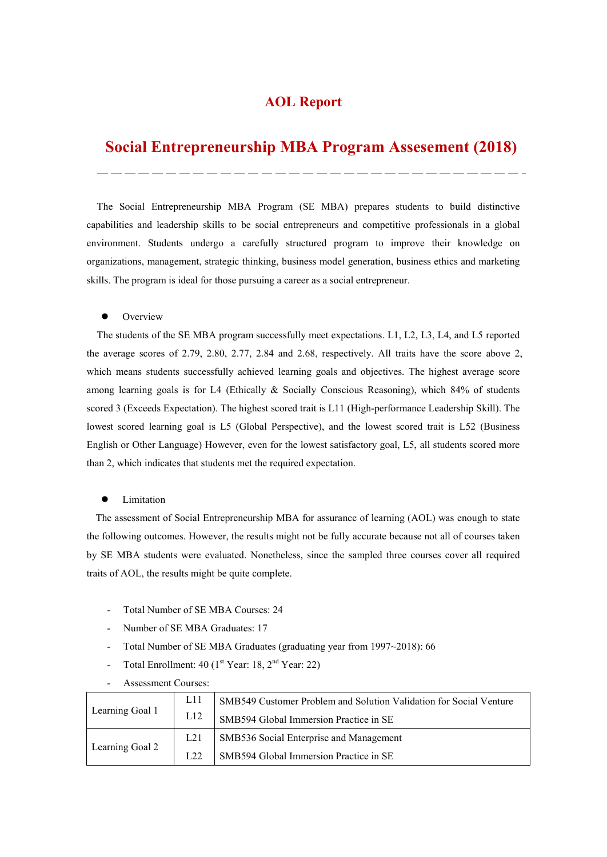# **AOL Report**

# **Social Entrepreneurship MBA Program Assesement (2018)**

 The Social Entrepreneurship MBA Program (SE MBA) prepares students to build distinctive capabilities and leadership skills to be social entrepreneurs and competitive professionals in a global environment. Students undergo a carefully structured program to improve their knowledge on organizations, management, strategic thinking, business model generation, business ethics and marketing skills. The program is ideal for those pursuing a career as a social entrepreneur.

#### **Overview**

The students of the SE MBA program successfully meet expectations. L1, L2, L3, L4, and L5 reported the average scores of 2.79, 2.80, 2.77, 2.84 and 2.68, respectively. All traits have the score above 2, which means students successfully achieved learning goals and objectives. The highest average score among learning goals is for L4 (Ethically & Socially Conscious Reasoning), which 84% of students scored 3 (Exceeds Expectation). The highest scored trait is L11 (High-performance Leadership Skill). The lowest scored learning goal is L5 (Global Perspective), and the lowest scored trait is L52 (Business English or Other Language) However, even for the lowest satisfactory goal, L5, all students scored more than 2, which indicates that students met the required expectation.

#### Limitation

The assessment of Social Entrepreneurship MBA for assurance of learning (AOL) was enough to state the following outcomes. However, the results might not be fully accurate because not all of courses taken by SE MBA students were evaluated. Nonetheless, since the sampled three courses cover all required traits of AOL, the results might be quite complete.

- Total Number of SE MBA Courses: 24
- Number of SE MBA Graduates: 17
- Total Number of SE MBA Graduates (graduating year from 1997~2018): 66
- Total Enrollment:  $40 (1<sup>st</sup> Year: 18, 2<sup>nd</sup> Year: 22)$

|                 | L11  | SMB549 Customer Problem and Solution Validation for Social Venture |
|-----------------|------|--------------------------------------------------------------------|
| Learning Goal 1 | L12  | SMB594 Global Immersion Practice in SE                             |
|                 | L21  | SMB536 Social Enterprise and Management                            |
| Learning Goal 2 | 1.22 | SMB594 Global Immersion Practice in SE                             |

Assessment Courses: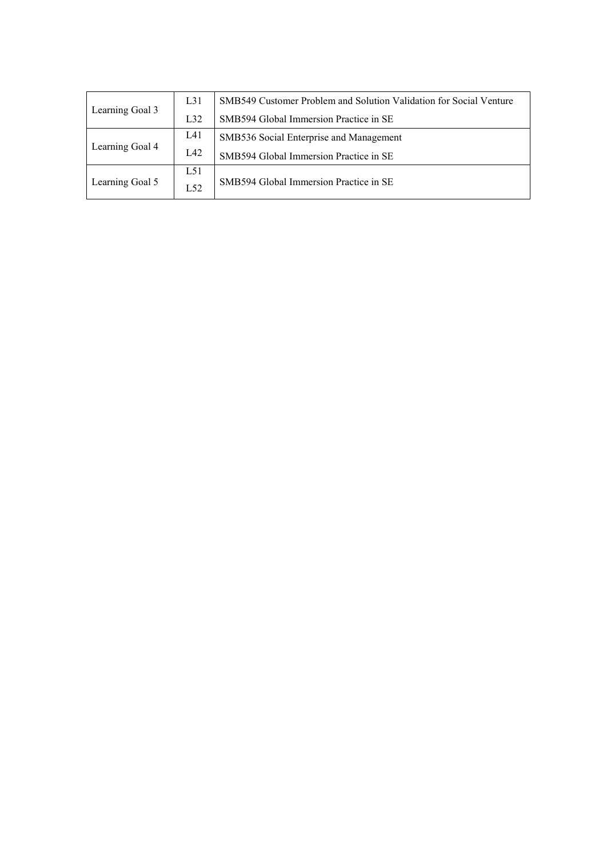| Learning Goal 3 | $L_{31}$ | SMB549 Customer Problem and Solution Validation for Social Venture |  |  |  |  |
|-----------------|----------|--------------------------------------------------------------------|--|--|--|--|
|                 | L32      | SMB594 Global Immersion Practice in SE                             |  |  |  |  |
|                 | L41      | SMB536 Social Enterprise and Management                            |  |  |  |  |
| Learning Goal 4 | L42      | SMB594 Global Immersion Practice in SE                             |  |  |  |  |
|                 | L51      |                                                                    |  |  |  |  |
| Learning Goal 5 | L52      | SMB594 Global Immersion Practice in SE                             |  |  |  |  |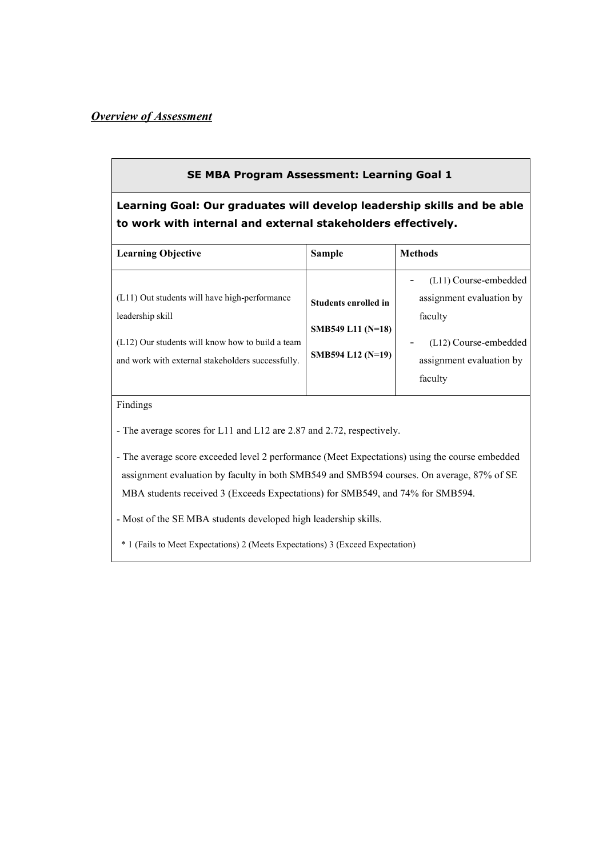# *Overview of Assessment*

## **SE MBA Program Assessment: Learning Goal 1**

**Learning Goal: Our graduates will develop leadership skills and be able to work with internal and external stakeholders effectively.**

| <b>Learning Objective</b>                          | <b>Sample</b>               | <b>Methods</b>                          |
|----------------------------------------------------|-----------------------------|-----------------------------------------|
|                                                    |                             | (L11) Course-embedded                   |
| $(L11)$ Out students will have high-performance    | <b>Students enrolled in</b> | assignment evaluation by                |
| leadership skill                                   |                             | faculty                                 |
|                                                    | SMB549 L11 (N=18)           |                                         |
| $(L12)$ Our students will know how to build a team |                             | (L12) Course-embedded<br>$\overline{a}$ |
| and work with external stakeholders successfully.  | SMB594 L12 $(N=19)$         | assignment evaluation by                |
|                                                    |                             | faculty                                 |

Findings

- The average scores for L11 and L12 are 2.87 and 2.72, respectively.

- The average score exceeded level 2 performance (Meet Expectations) using the course embedded assignment evaluation by faculty in both SMB549 and SMB594 courses. On average, 87% of SE MBA students received 3 (Exceeds Expectations) for SMB549, and 74% for SMB594.

- Most of the SE MBA students developed high leadership skills.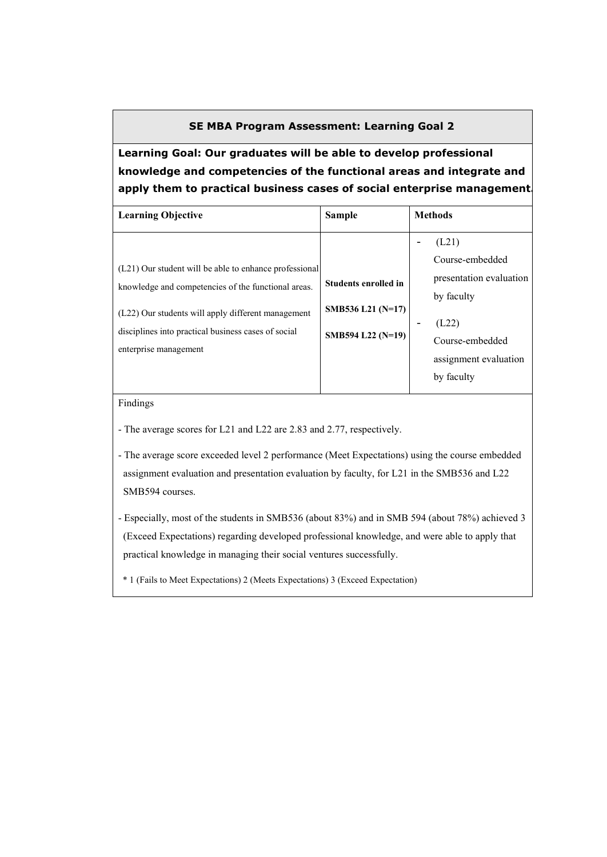# **Learning Goal: Our graduates will be able to develop professional knowledge and competencies of the functional areas and integrate and apply them to practical business cases of social enterprise management.**

| <b>Learning Objective</b>                                                                                                                                                                                                                           | <b>Sample</b>                                                         | <b>Methods</b>                                                                                                                       |
|-----------------------------------------------------------------------------------------------------------------------------------------------------------------------------------------------------------------------------------------------------|-----------------------------------------------------------------------|--------------------------------------------------------------------------------------------------------------------------------------|
| (L21) Our student will be able to enhance professional<br>knowledge and competencies of the functional areas.<br>(L22) Our students will apply different management<br>disciplines into practical business cases of social<br>enterprise management | <b>Students enrolled in</b><br>SMB536 L21 (N=17)<br>SMB594 L22 (N=19) | (L21)<br>Course-embedded<br>presentation evaluation<br>by faculty<br>(L22)<br>Course-embedded<br>assignment evaluation<br>by faculty |

#### Findings

- The average scores for L21 and L22 are 2.83 and 2.77, respectively.

- The average score exceeded level 2 performance (Meet Expectations) using the course embedded assignment evaluation and presentation evaluation by faculty, for L21 in the SMB536 and L22 SMB594 courses.

- Especially, most of the students in SMB536 (about 83%) and in SMB 594 (about 78%) achieved 3 (Exceed Expectations) regarding developed professional knowledge, and were able to apply that practical knowledge in managing their social ventures successfully.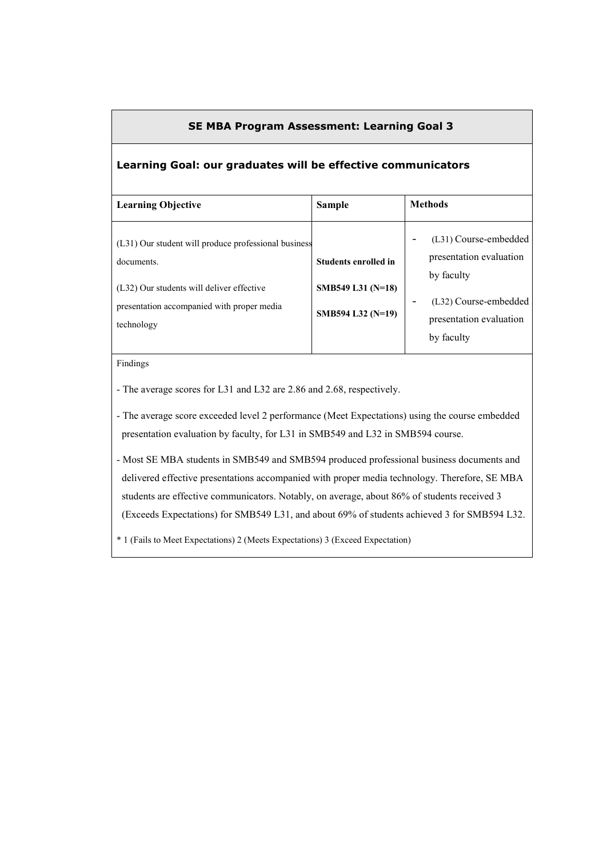### **Learning Goal: our graduates will be effective communicators**

| <b>Learning Objective</b>                                                                                                                                                   | <b>Sample</b>                                                         | <b>Methods</b>                                                                                                                             |
|-----------------------------------------------------------------------------------------------------------------------------------------------------------------------------|-----------------------------------------------------------------------|--------------------------------------------------------------------------------------------------------------------------------------------|
| (L31) Our student will produce professional business<br>documents.<br>(L32) Our students will deliver effective<br>presentation accompanied with proper media<br>technology | <b>Students enrolled in</b><br>SMB549 L31 (N=18)<br>SMB594 L32 (N=19) | (L31) Course-embedded<br>٠<br>presentation evaluation<br>by faculty<br>(L32) Course-embedded<br>۰<br>presentation evaluation<br>by faculty |

### Findings

- The average scores for L31 and L32 are 2.86 and 2.68, respectively.

- The average score exceeded level 2 performance (Meet Expectations) using the course embedded presentation evaluation by faculty, for L31 in SMB549 and L32 in SMB594 course.

- Most SE MBA students in SMB549 and SMB594 produced professional business documents and delivered effective presentations accompanied with proper media technology. Therefore, SE MBA students are effective communicators. Notably, on average, about 86% of students received 3 (Exceeds Expectations) for SMB549 L31, and about 69% of students achieved 3 for SMB594 L32.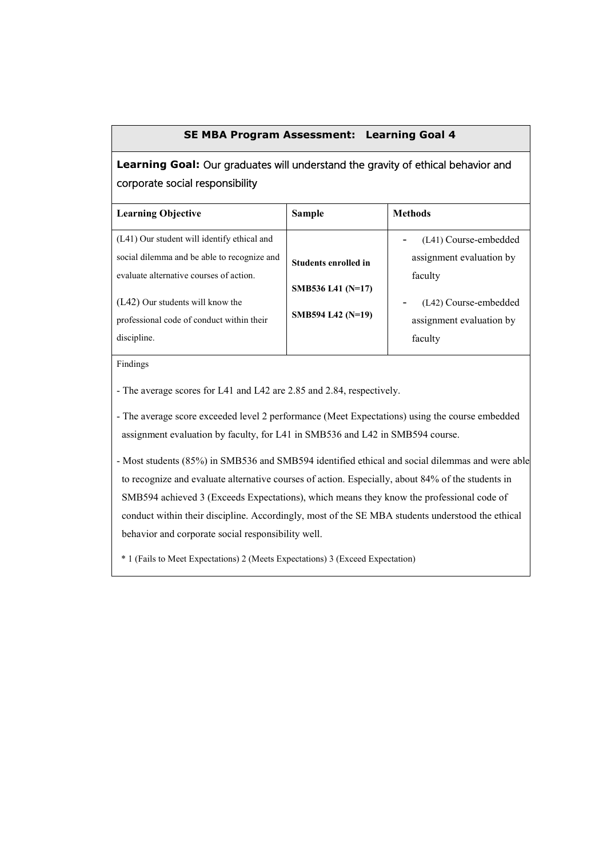# Learning Goal: Our graduates will understand the gravity of ethical behavior and corporate social responsibility

| <b>Learning Objective</b>                   | <b>Sample</b>               | <b>Methods</b>           |
|---------------------------------------------|-----------------------------|--------------------------|
| (L41) Our student will identify ethical and |                             | (L41) Course-embedded    |
| social dilemma and be able to recognize and | <b>Students enrolled in</b> | assignment evaluation by |
| evaluate alternative courses of action.     |                             | faculty                  |
|                                             | SMB536 L41 (N=17)           |                          |
| $(L42)$ Our students will know the          |                             | (L42) Course-embedded    |
| professional code of conduct within their   | SMB594 L42 (N=19)           | assignment evaluation by |
| discipline.                                 |                             | faculty                  |
|                                             |                             |                          |

### Findings

- The average scores for L41 and L42 are 2.85 and 2.84, respectively.

- The average score exceeded level 2 performance (Meet Expectations) using the course embedded assignment evaluation by faculty, for L41 in SMB536 and L42 in SMB594 course.

- Most students (85%) in SMB536 and SMB594 identified ethical and social dilemmas and were able to recognize and evaluate alternative courses of action. Especially, about 84% of the students in SMB594 achieved 3 (Exceeds Expectations), which means they know the professional code of conduct within their discipline. Accordingly, most of the SE MBA students understood the ethical behavior and corporate social responsibility well.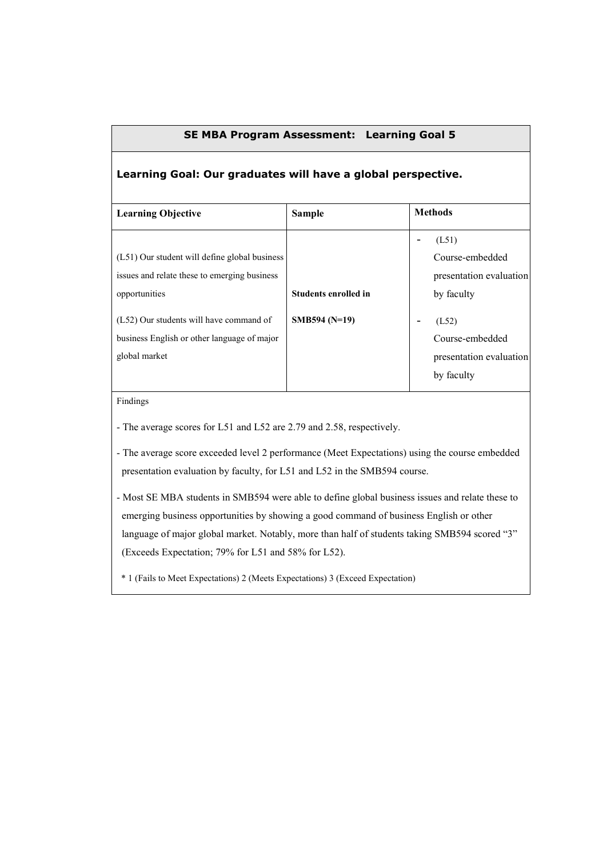# **Learning Goal: Our graduates will have a global perspective.**

| <b>Learning Objective</b>                     | Sample               | <b>Methods</b>                    |
|-----------------------------------------------|----------------------|-----------------------------------|
|                                               |                      | (L51)<br>$\overline{\phantom{a}}$ |
| (L51) Our student will define global business |                      | Course-embedded                   |
| issues and relate these to emerging business  |                      | presentation evaluation           |
| opportunities                                 | Students enrolled in | by faculty                        |
| (L52) Our students will have command of       | SMB594 (N=19)        | (L52)                             |
| business English or other language of major   |                      | Course-embedded                   |
| global market                                 |                      | presentation evaluation           |
|                                               |                      | by faculty                        |
|                                               |                      |                                   |

### Findings

- The average scores for L51 and L52 are 2.79 and 2.58, respectively.

- The average score exceeded level 2 performance (Meet Expectations) using the course embedded presentation evaluation by faculty, for L51 and L52 in the SMB594 course.

- Most SE MBA students in SMB594 were able to define global business issues and relate these to emerging business opportunities by showing a good command of business English or other language of major global market. Notably, more than half of students taking SMB594 scored "3" (Exceeds Expectation; 79% for L51 and 58% for L52).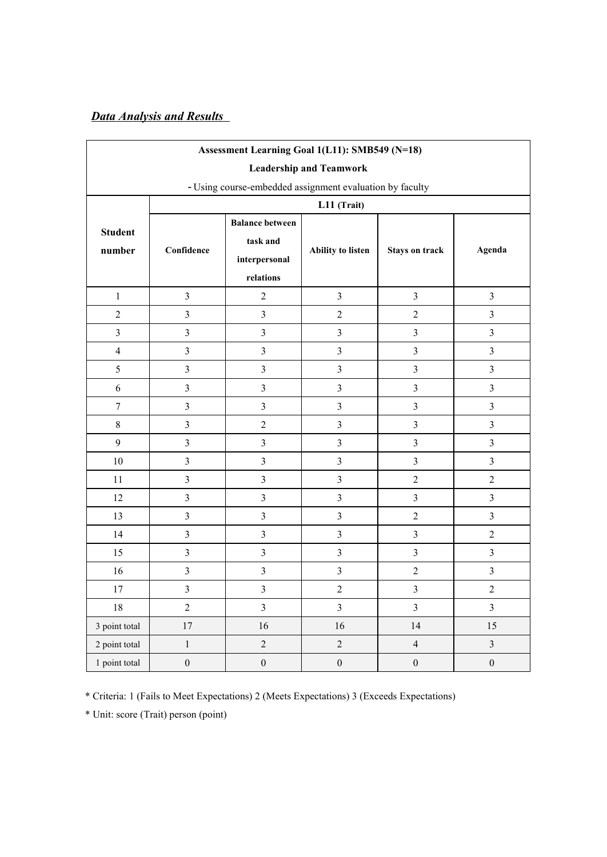# *Data Analysis and Results*

|                          |                         | Assessment Learning Goal 1(L11): SMB549 (N=18)                   |                                |                       |                         |  |  |  |  |
|--------------------------|-------------------------|------------------------------------------------------------------|--------------------------------|-----------------------|-------------------------|--|--|--|--|
|                          |                         |                                                                  | <b>Leadership and Teamwork</b> |                       |                         |  |  |  |  |
|                          |                         | - Using course-embedded assignment evaluation by faculty         |                                |                       |                         |  |  |  |  |
|                          | L11 (Trait)             |                                                                  |                                |                       |                         |  |  |  |  |
| <b>Student</b><br>number | Confidence              | <b>Balance between</b><br>task and<br>interpersonal<br>relations | Ability to listen              | <b>Stays on track</b> | Agenda                  |  |  |  |  |
| $\mathbf{1}$             | $\mathfrak{Z}$          | $\overline{2}$                                                   | $\overline{3}$                 | $\overline{3}$        | $\overline{3}$          |  |  |  |  |
| $\sqrt{2}$               | $\mathfrak{Z}$          | $\mathfrak{Z}$                                                   | $\sqrt{2}$                     | $\sqrt{2}$            | $\overline{3}$          |  |  |  |  |
| $\overline{3}$           | $\overline{3}$          | $\overline{3}$                                                   | $\overline{3}$                 | $\overline{3}$        | $\overline{3}$          |  |  |  |  |
| $\overline{4}$           | $\overline{3}$          | 3                                                                | $\mathfrak{Z}$                 | $\mathfrak{Z}$        | $\overline{3}$          |  |  |  |  |
| 5                        | $\mathfrak{Z}$          | $\mathfrak{Z}$                                                   | $\overline{3}$                 | $\mathfrak{Z}$        | $\overline{3}$          |  |  |  |  |
| $\sqrt{6}$               | $\mathfrak{Z}$          | $\overline{3}$                                                   | $\overline{3}$                 | $\overline{3}$        | $\overline{3}$          |  |  |  |  |
| $\boldsymbol{7}$         | $\mathfrak{Z}$          | $\mathfrak{Z}$                                                   | $\mathfrak{Z}$                 | $\mathfrak{Z}$        | $\mathfrak{Z}$          |  |  |  |  |
| $\,8\,$                  | $\overline{3}$          | $\overline{2}$                                                   | $\overline{3}$                 | $\mathfrak{Z}$        | $\overline{3}$          |  |  |  |  |
| 9                        | $\overline{3}$          | $\overline{3}$                                                   | $\overline{3}$                 | $\mathfrak{Z}$        | $\overline{3}$          |  |  |  |  |
| 10                       | $\overline{3}$          | $\overline{\mathbf{3}}$                                          | $\mathfrak{Z}$                 | $\mathfrak{Z}$        | $\overline{3}$          |  |  |  |  |
| 11                       | $\mathfrak{Z}$          | 3                                                                | $\mathfrak{Z}$                 | $\overline{2}$        | $\overline{2}$          |  |  |  |  |
| 12                       | $\overline{\mathbf{3}}$ | $\overline{3}$                                                   | $\overline{3}$                 | $\overline{3}$        | $\overline{3}$          |  |  |  |  |
| 13                       | $\overline{3}$          | $\overline{3}$                                                   | $\overline{3}$                 | $\overline{2}$        | $\overline{\mathbf{3}}$ |  |  |  |  |
| 14                       | $\overline{3}$          | $\overline{3}$                                                   | $\mathfrak{Z}$                 | $\mathfrak{Z}$        | $\overline{2}$          |  |  |  |  |
| 15                       | $\mathfrak{Z}$          | $\overline{\mathbf{3}}$                                          | $\mathfrak{Z}$                 | $\mathfrak{Z}$        | $\overline{3}$          |  |  |  |  |
| 16                       | $\overline{3}$          | $\overline{3}$                                                   | $\overline{3}$                 | $\overline{2}$        | $\overline{3}$          |  |  |  |  |
| $17\,$                   | $\mathfrak{Z}$          | $\overline{3}$                                                   | $\sqrt{2}$                     | $\mathfrak{Z}$        | $\overline{2}$          |  |  |  |  |
| $18\,$                   | $\overline{2}$          | $\overline{3}$                                                   | $\mathfrak{Z}$                 | $\mathfrak{Z}$        | $\mathfrak{Z}$          |  |  |  |  |
| 3 point total            | 17                      | 16                                                               | 16                             | 14                    | 15                      |  |  |  |  |
| 2 point total            | $\mathbf{1}$            | $\overline{2}$                                                   | $\overline{2}$                 | $\overline{4}$        | $\mathfrak{Z}$          |  |  |  |  |
| 1 point total            | $\boldsymbol{0}$        | $\boldsymbol{0}$                                                 | $\boldsymbol{0}$               | $\boldsymbol{0}$      | $\boldsymbol{0}$        |  |  |  |  |

\* Criteria: 1 (Fails to Meet Expectations) 2 (Meets Expectations) 3 (Exceeds Expectations)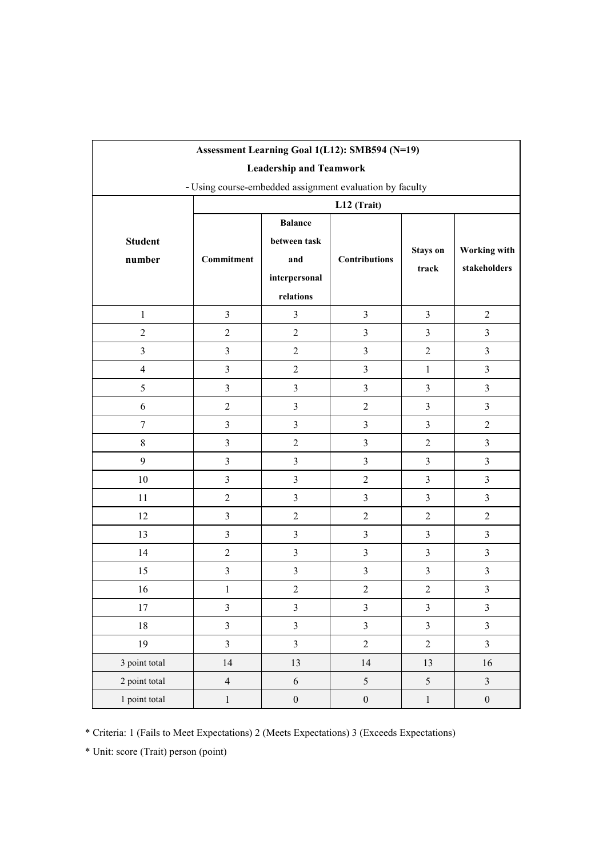|                                                          |                         |                                | Assessment Learning Goal 1(L12): SMB594 (N=19) |                         |                                     |  |  |  |  |
|----------------------------------------------------------|-------------------------|--------------------------------|------------------------------------------------|-------------------------|-------------------------------------|--|--|--|--|
|                                                          |                         | <b>Leadership and Teamwork</b> |                                                |                         |                                     |  |  |  |  |
| - Using course-embedded assignment evaluation by faculty |                         |                                |                                                |                         |                                     |  |  |  |  |
|                                                          |                         | L12 (Trait)                    |                                                |                         |                                     |  |  |  |  |
|                                                          | <b>Balance</b>          |                                |                                                |                         |                                     |  |  |  |  |
| <b>Student</b>                                           |                         | between task                   |                                                |                         |                                     |  |  |  |  |
| number                                                   | <b>Commitment</b>       | and                            | <b>Contributions</b>                           | <b>Stays on</b>         | <b>Working with</b><br>stakeholders |  |  |  |  |
|                                                          |                         | interpersonal                  |                                                | track                   |                                     |  |  |  |  |
|                                                          |                         | relations                      |                                                |                         |                                     |  |  |  |  |
| $\mathbf{1}$                                             | $\overline{3}$          | $\mathfrak{Z}$                 | $\overline{3}$                                 | $\mathfrak{Z}$          | $\overline{2}$                      |  |  |  |  |
| $\overline{2}$                                           | $\overline{2}$          | $\overline{2}$                 | $\mathfrak{Z}$                                 | 3                       | $\overline{3}$                      |  |  |  |  |
| 3                                                        | $\overline{3}$          | $\overline{2}$                 | $\overline{3}$                                 | $\overline{2}$          | $\overline{3}$                      |  |  |  |  |
| $\overline{4}$                                           | $\overline{3}$          | $\sqrt{2}$                     | $\mathfrak{Z}$                                 | $\mathbf{1}$            | $\mathfrak{Z}$                      |  |  |  |  |
| 5                                                        | $\overline{3}$          | $\overline{3}$                 | $\overline{3}$                                 | 3                       | $\mathfrak{Z}$                      |  |  |  |  |
| 6                                                        | $\overline{2}$          | $\mathfrak{Z}$                 | $\sqrt{2}$                                     | $\overline{3}$          | $\mathfrak{Z}$                      |  |  |  |  |
| $\tau$                                                   | $\overline{3}$          | $\overline{3}$                 | $\overline{\mathbf{3}}$                        | 3                       | $\overline{2}$                      |  |  |  |  |
| $8\,$                                                    | $\overline{\mathbf{3}}$ | $\sqrt{2}$                     | $\mathfrak{Z}$                                 | $\overline{2}$          | $\overline{3}$                      |  |  |  |  |
| 9                                                        | $\overline{\mathbf{3}}$ | $\overline{\mathbf{3}}$        | $\overline{\mathbf{3}}$                        | 3                       | $\overline{3}$                      |  |  |  |  |
| 10                                                       | $\overline{\mathbf{3}}$ | $\mathfrak{Z}$                 | $\sqrt{2}$                                     | 3                       | $\overline{3}$                      |  |  |  |  |
| 11                                                       | $\overline{2}$          | $\overline{3}$                 | $\overline{\mathbf{3}}$                        | 3                       | $\overline{3}$                      |  |  |  |  |
| 12                                                       | $\overline{3}$          | $\overline{2}$                 | $\sqrt{2}$                                     | $\overline{2}$          | $\overline{2}$                      |  |  |  |  |
| 13                                                       | $\overline{3}$          | $\overline{3}$                 | $\overline{\mathbf{3}}$                        | 3                       | $\overline{3}$                      |  |  |  |  |
| 14                                                       | $\overline{2}$          | $\mathfrak{Z}$                 | $\overline{\mathbf{3}}$                        | 3                       | $\overline{3}$                      |  |  |  |  |
| 15                                                       | $\overline{3}$          | $\mathfrak{Z}$                 | $\mathfrak{Z}$                                 | 3                       | $\overline{3}$                      |  |  |  |  |
| 16                                                       | $\mathbf{1}$            | $\sqrt{2}$                     | $\sqrt{2}$                                     | $\sqrt{2}$              | $\mathfrak{Z}$                      |  |  |  |  |
| $17\,$                                                   | $\overline{3}$          | $\overline{\mathbf{3}}$        | $\overline{\mathbf{3}}$                        | $\overline{\mathbf{3}}$ | $\mathfrak{Z}$                      |  |  |  |  |
| $18\,$                                                   | $\overline{3}$          | $\overline{3}$                 | $\overline{3}$                                 | $\overline{3}$          | $\overline{3}$                      |  |  |  |  |
| 19                                                       | $\overline{3}$          | $\overline{3}$                 | $\overline{2}$                                 | $\overline{2}$          | $\overline{3}$                      |  |  |  |  |
| 3 point total                                            | 14                      | 13                             | 14                                             | 13                      | 16                                  |  |  |  |  |
| 2 point total                                            | $\overline{4}$          | $\sqrt{6}$                     | 5                                              | 5                       | $\overline{3}$                      |  |  |  |  |
| 1 point total                                            | $\,1$                   | $\boldsymbol{0}$               | $\boldsymbol{0}$                               | $\,1$                   | $\boldsymbol{0}$                    |  |  |  |  |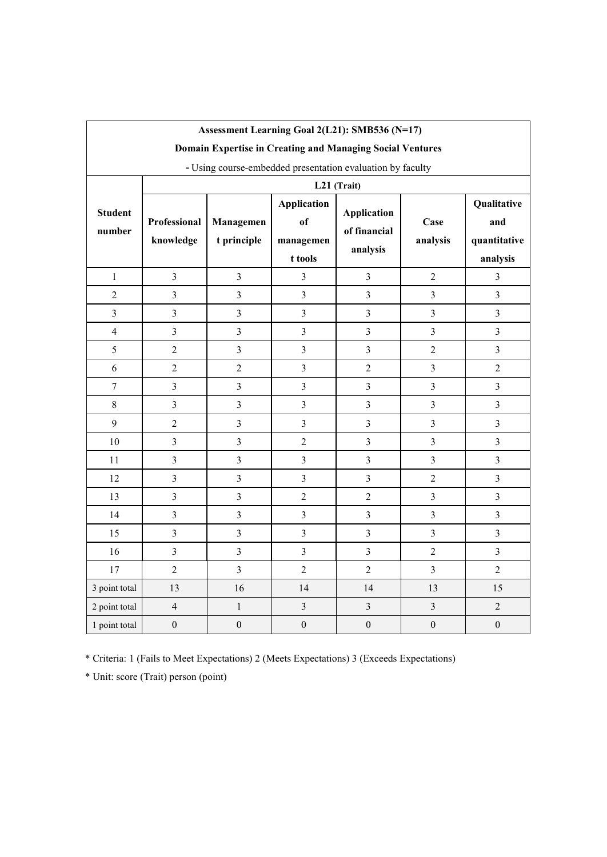|                          |                           |                          |                                                  | Assessment Learning Goal 2(L21): SMB536 (N=17)             |                         |                                                |
|--------------------------|---------------------------|--------------------------|--------------------------------------------------|------------------------------------------------------------|-------------------------|------------------------------------------------|
|                          |                           |                          |                                                  | Domain Expertise in Creating and Managing Social Ventures  |                         |                                                |
|                          |                           |                          |                                                  | - Using course-embedded presentation evaluation by faculty |                         |                                                |
|                          |                           |                          |                                                  | L21 (Trait)                                                |                         |                                                |
| <b>Student</b><br>number | Professional<br>knowledge | Managemen<br>t principle | <b>Application</b><br>of<br>managemen<br>t tools | <b>Application</b><br>of financial<br>analysis             | Case<br>analysis        | Qualitative<br>and<br>quantitative<br>analysis |
| $\mathbf{1}$             | $\overline{3}$            | $\overline{3}$           | $\mathfrak{Z}$                                   | $\overline{3}$                                             | $\overline{2}$          | $\overline{3}$                                 |
| $\sqrt{2}$               | $\mathfrak{Z}$            | $\overline{3}$           | $\overline{3}$                                   | $\mathfrak{Z}$                                             | $\overline{3}$          | $\overline{3}$                                 |
| $\overline{3}$           | $\overline{3}$            | $\overline{3}$           | $\overline{3}$                                   | $\overline{3}$                                             | $\overline{3}$          | $\overline{3}$                                 |
| $\overline{4}$           | $\overline{3}$            | $\overline{3}$           | $\overline{3}$                                   | $\overline{3}$                                             | $\mathfrak{Z}$          | $\overline{3}$                                 |
| 5                        | $\sqrt{2}$                | $\overline{3}$           | $\overline{3}$                                   | $\mathfrak{Z}$                                             | $\sqrt{2}$              | $\overline{3}$                                 |
| 6                        | $\overline{c}$            | $\overline{2}$           | $\overline{3}$                                   | $\overline{2}$                                             | $\overline{3}$          | $\overline{2}$                                 |
| $\tau$                   | $\overline{3}$            | $\overline{3}$           | $\overline{3}$                                   | $\overline{3}$                                             | $\mathfrak{Z}$          | $\overline{3}$                                 |
| $8\,$                    | $\mathfrak{Z}$            | $\overline{3}$           | $\overline{3}$                                   | $\overline{\mathbf{3}}$                                    | $\overline{3}$          | $\overline{3}$                                 |
| 9                        | $\overline{c}$            | $\overline{3}$           | $\overline{3}$                                   | $\overline{3}$                                             | $\mathfrak{Z}$          | $\overline{3}$                                 |
| 10                       | $\overline{3}$            | $\overline{3}$           | $\overline{2}$                                   | $\overline{3}$                                             | $\overline{3}$          | $\overline{3}$                                 |
| 11                       | $\overline{3}$            | $\overline{3}$           | $\overline{3}$                                   | $\overline{\mathbf{3}}$                                    | $\overline{\mathbf{3}}$ | $\overline{3}$                                 |
| 12                       | $\overline{3}$            | $\overline{3}$           | $\overline{3}$                                   | $\mathfrak{Z}$                                             | $\overline{2}$          | $\overline{3}$                                 |
| 13                       | $\overline{3}$            | $\overline{3}$           | $\overline{2}$                                   | $\overline{2}$                                             | $\overline{3}$          | $\overline{3}$                                 |
| 14                       | $\overline{3}$            | $\overline{3}$           | $\overline{3}$                                   | $\overline{\mathbf{3}}$                                    | $\overline{3}$          | $\overline{3}$                                 |
| 15                       | $\overline{3}$            | $\overline{3}$           | $\overline{3}$                                   | $\mathfrak{Z}$                                             | $\overline{3}$          | $\overline{3}$                                 |
| 16                       | $\overline{3}$            | $\overline{3}$           | $\overline{3}$                                   | $\overline{3}$                                             | $\overline{2}$          | $\overline{3}$                                 |
| 17                       | $\overline{2}$            | $\overline{3}$           | $\overline{2}$                                   | $\overline{2}$                                             | $\overline{3}$          | $\overline{2}$                                 |
| 3 point total            | 13                        | 16                       | 14                                               | 14                                                         | 13                      | 15                                             |
| 2 point total            | $\overline{4}$            | $\mathbf{1}$             | $\mathfrak{Z}$                                   | $\mathfrak{Z}$                                             | $\mathfrak{Z}$          | $\overline{2}$                                 |
| 1 point total            | $\boldsymbol{0}$          | $\boldsymbol{0}$         | $\boldsymbol{0}$                                 | $\boldsymbol{0}$                                           | $\boldsymbol{0}$        | $\boldsymbol{0}$                               |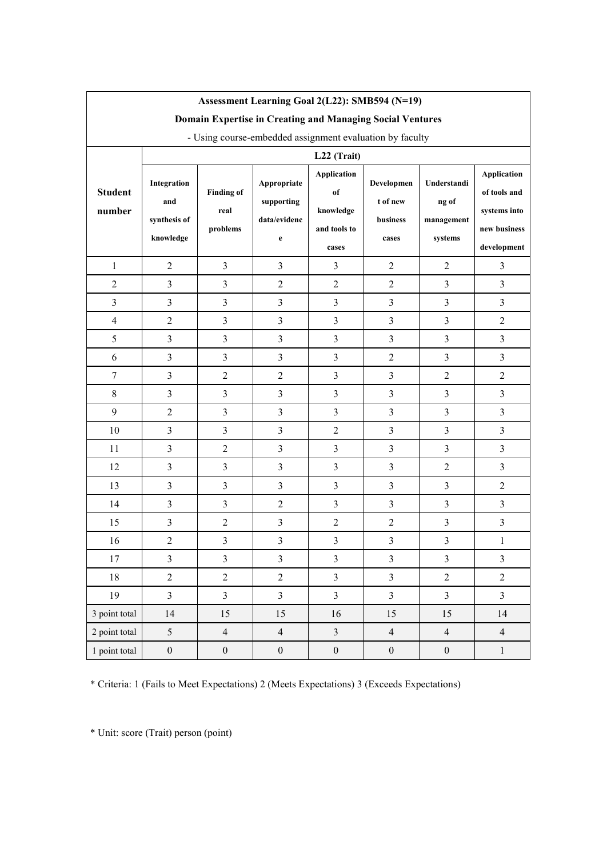|                          |                                                 |                                       | Assessment Learning Goal 2(L22): SMB594 (N=19)            |                                                                |                                             |                                               |                                                                            |
|--------------------------|-------------------------------------------------|---------------------------------------|-----------------------------------------------------------|----------------------------------------------------------------|---------------------------------------------|-----------------------------------------------|----------------------------------------------------------------------------|
|                          |                                                 |                                       | Domain Expertise in Creating and Managing Social Ventures |                                                                |                                             |                                               |                                                                            |
|                          |                                                 |                                       | - Using course-embedded assignment evaluation by faculty  |                                                                |                                             |                                               |                                                                            |
|                          |                                                 |                                       |                                                           | L22 (Trait)                                                    |                                             |                                               |                                                                            |
| <b>Student</b><br>number | Integration<br>and<br>synthesis of<br>knowledge | <b>Finding of</b><br>real<br>problems | Appropriate<br>supporting<br>data/evidenc<br>e            | <b>Application</b><br>of<br>knowledge<br>and tools to<br>cases | Developmen<br>t of new<br>business<br>cases | Understandi<br>ng of<br>management<br>systems | Application<br>of tools and<br>systems into<br>new business<br>development |
| $\mathbf{1}$             | $\sqrt{2}$                                      | $\mathfrak{Z}$                        | $\overline{3}$                                            | $\mathfrak{Z}$                                                 | $\sqrt{2}$                                  | $\sqrt{2}$                                    | $\mathfrak{Z}$                                                             |
| $\sqrt{2}$               | $\overline{3}$                                  | $\mathfrak{Z}$                        | $\sqrt{2}$                                                | $\sqrt{2}$                                                     | $\sqrt{2}$                                  | $\mathfrak{Z}$                                | $\mathfrak{Z}$                                                             |
| $\mathfrak{Z}$           | $\overline{\mathbf{3}}$                         | $\mathfrak{Z}$                        | $\mathfrak{Z}$                                            | $\mathfrak{Z}$                                                 | $\mathfrak{Z}$                              | $\mathfrak{Z}$                                | $\mathfrak{Z}$                                                             |
| $\overline{4}$           | $\overline{2}$                                  | $\mathfrak{Z}$                        | $\overline{3}$                                            | $\mathfrak{Z}$                                                 | $\mathfrak{Z}$                              | $\mathfrak{Z}$                                | $\overline{2}$                                                             |
| $\mathfrak s$            | $\overline{3}$                                  | $\mathfrak{Z}$                        | $\overline{3}$                                            | $\mathfrak{Z}$                                                 | $\mathfrak{Z}$                              | $\mathfrak{Z}$                                | $\mathfrak{Z}$                                                             |
| 6                        | $\overline{\mathbf{3}}$                         | $\mathfrak{Z}$                        | $\overline{3}$                                            | $\overline{\mathbf{3}}$                                        | $\sqrt{2}$                                  | $\mathfrak{Z}$                                | $\mathfrak{Z}$                                                             |
| $\boldsymbol{7}$         | $\overline{\mathbf{3}}$                         | $\sqrt{2}$                            | $\sqrt{2}$                                                | $\mathfrak{Z}$                                                 | $\mathfrak{Z}$                              | $\sqrt{2}$                                    | $\sqrt{2}$                                                                 |
| $\,8\,$                  | $\overline{3}$                                  | $\mathfrak{Z}$                        | $\overline{3}$                                            | $\overline{3}$                                                 | $\mathfrak{Z}$                              | $\mathfrak{Z}$                                | $\mathfrak{Z}$                                                             |
| 9                        | $\sqrt{2}$                                      | $\mathfrak{Z}$                        | $\mathfrak{Z}$                                            | $\mathfrak{Z}$                                                 | $\mathfrak{Z}$                              | $\mathfrak{Z}$                                | $\mathfrak{Z}$                                                             |
| $10\,$                   | $\mathfrak{Z}$                                  | $\mathfrak{Z}$                        | $\overline{3}$                                            | $\sqrt{2}$                                                     | $\overline{3}$                              | $\mathfrak{Z}$                                | $\mathfrak{Z}$                                                             |
| 11                       | $\overline{\mathbf{3}}$                         | $\sqrt{2}$                            | $\mathfrak{Z}$                                            | $\mathfrak{Z}$                                                 | $\mathfrak{Z}$                              | $\mathfrak{Z}$                                | $\mathfrak{Z}$                                                             |
| 12                       | $\overline{3}$                                  | $\mathfrak{Z}$                        | $\overline{3}$                                            | $\overline{3}$                                                 | $\mathfrak{Z}$                              | $\overline{2}$                                | $\mathfrak{Z}$                                                             |
| 13                       | $\overline{3}$                                  | $\mathfrak{Z}$                        | $\mathfrak{Z}$                                            | $\mathfrak{Z}$                                                 | $\mathfrak{Z}$                              | $\mathfrak{Z}$                                | $\sqrt{2}$                                                                 |
| 14                       | $\overline{3}$                                  | $\mathfrak{Z}$                        | $\sqrt{2}$                                                | $\overline{3}$                                                 | $\overline{3}$                              | $\mathfrak{Z}$                                | $\mathfrak{Z}$                                                             |
| 15                       | $\overline{\mathbf{3}}$                         | $\sqrt{2}$                            | $\mathfrak{Z}$                                            | $\sqrt{2}$                                                     | $\sqrt{2}$                                  | $\mathfrak{Z}$                                | $\mathfrak{Z}$                                                             |
| 16                       | $\sqrt{2}$                                      | $\mathfrak{Z}$                        | $\mathfrak{Z}$                                            | $\mathfrak{Z}$                                                 | $\mathfrak{Z}$                              | $\mathfrak{Z}$                                | $\,1$                                                                      |
| 17                       | $\mathfrak{Z}$                                  | $\mathfrak{Z}$                        | $\mathfrak{Z}$                                            | $\mathfrak{Z}$                                                 | $\mathfrak{Z}$                              | $\mathfrak{Z}$                                | $\mathfrak{Z}$                                                             |
| 18                       | $\overline{c}$                                  | $\overline{2}$                        | $\boldsymbol{2}$                                          | $\overline{\mathbf{3}}$                                        | $\mathfrak{Z}$                              | $\overline{2}$                                | $\sqrt{2}$                                                                 |
| 19                       | $\overline{3}$                                  | $\mathfrak{Z}$                        | $\overline{3}$                                            | $\overline{\mathbf{3}}$                                        | $\mathfrak{Z}$                              | $\overline{3}$                                | $\overline{3}$                                                             |
| 3 point total            | 14                                              | 15                                    | 15                                                        | 16                                                             | 15                                          | 15                                            | 14                                                                         |
| 2 point total            | 5                                               | $\overline{4}$                        | $\overline{4}$                                            | $\mathfrak{Z}$                                                 | $\overline{4}$                              | $\overline{4}$                                | $\overline{4}$                                                             |
| 1 point total            | $\boldsymbol{0}$                                | $\boldsymbol{0}$                      | $\boldsymbol{0}$                                          | $\boldsymbol{0}$                                               | $\boldsymbol{0}$                            | $\boldsymbol{0}$                              | $1\,$                                                                      |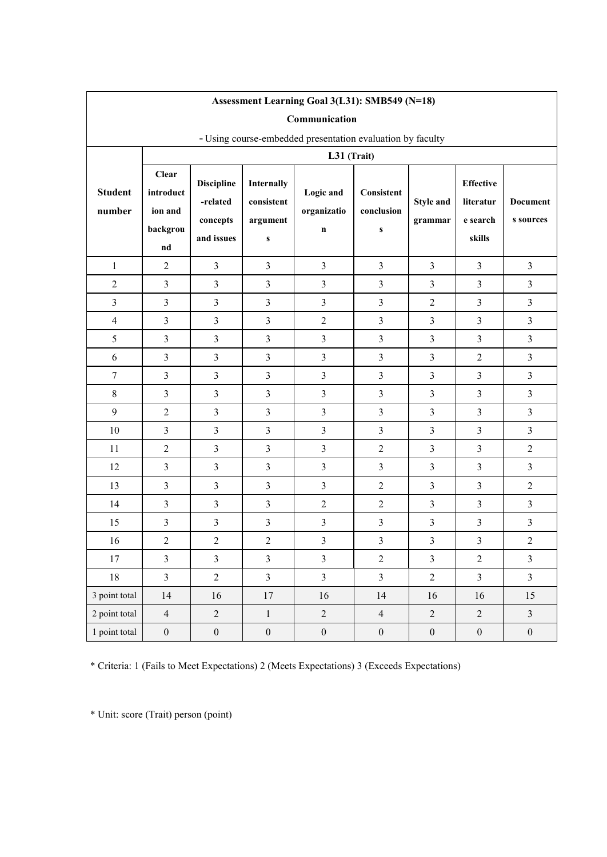|                          |                                                        |                                                         |                                                   | Assessment Learning Goal 3(L31): SMB549 (N=18)             |                               |                             |                                                     |                              |
|--------------------------|--------------------------------------------------------|---------------------------------------------------------|---------------------------------------------------|------------------------------------------------------------|-------------------------------|-----------------------------|-----------------------------------------------------|------------------------------|
|                          |                                                        |                                                         |                                                   | Communication                                              |                               |                             |                                                     |                              |
|                          |                                                        |                                                         |                                                   | - Using course-embedded presentation evaluation by faculty |                               |                             |                                                     |                              |
|                          |                                                        |                                                         |                                                   | L31 (Trait)                                                |                               |                             |                                                     |                              |
| <b>Student</b><br>number | <b>Clear</b><br>introduct<br>ion and<br>backgrou<br>nd | <b>Discipline</b><br>-related<br>concepts<br>and issues | Internally<br>consistent<br>argument<br>${\bf s}$ | Logic and<br>organizatio<br>$\mathbf n$                    | Consistent<br>conclusion<br>S | <b>Style and</b><br>grammar | <b>Effective</b><br>literatur<br>e search<br>skills | <b>Document</b><br>s sources |
| $\mathbf{1}$             | $\sqrt{2}$                                             | $\overline{3}$                                          | $\overline{3}$                                    | $\mathfrak{Z}$                                             | $\mathfrak{Z}$                | $\overline{3}$              | $\mathfrak{Z}$                                      | $\overline{3}$               |
| $\sqrt{2}$               | $\mathfrak{Z}$                                         | $\mathfrak{Z}$                                          | $\mathfrak{Z}$                                    | $\mathfrak{Z}$                                             | $\mathfrak{Z}$                | $\overline{3}$              | $\mathfrak{Z}$                                      | $\overline{3}$               |
| $\mathfrak{Z}$           | $\overline{3}$                                         | $\mathfrak{Z}$                                          | $\mathfrak{Z}$                                    | $\mathfrak{Z}$                                             | $\mathfrak{Z}$                | $\overline{2}$              | $\mathfrak{Z}$                                      | $\overline{\mathbf{3}}$      |
| $\overline{\mathbf{4}}$  | $\overline{\mathbf{3}}$                                | $\mathfrak{Z}$                                          | $\mathfrak{Z}$                                    | $\sqrt{2}$                                                 | $\mathfrak{Z}$                | $\overline{\mathbf{3}}$     | $\mathfrak{Z}$                                      | $\mathfrak{Z}$               |
| 5                        | $\mathfrak{Z}$                                         | $\mathfrak{Z}$                                          | $\mathfrak{Z}$                                    | $\mathfrak{Z}$                                             | $\mathfrak{Z}$                | $\overline{\mathbf{3}}$     | $\mathfrak{Z}$                                      | $\mathfrak{Z}$               |
| 6                        | $\overline{\mathbf{3}}$                                | $\mathfrak{Z}$                                          | $\overline{\mathbf{3}}$                           | $\mathfrak{Z}$                                             | $\mathfrak{Z}$                | $\overline{\mathbf{3}}$     | $\overline{2}$                                      | $\overline{\mathbf{3}}$      |
| $\boldsymbol{7}$         | $\mathfrak{Z}$                                         | $\mathfrak{Z}$                                          | $\mathfrak{Z}$                                    | $\mathfrak{Z}$                                             | $\mathfrak{Z}$                | 3                           | $\mathfrak{Z}$                                      | $\mathfrak{Z}$               |
| $\,8\,$                  | $\overline{\mathbf{3}}$                                | $\mathfrak{Z}$                                          | $\mathfrak{Z}$                                    | $\mathfrak{Z}$                                             | $\mathfrak{Z}$                | 3                           | $\mathfrak{Z}$                                      | $\mathfrak{Z}$               |
| 9                        | $\overline{2}$                                         | $\mathfrak{Z}$                                          | $\mathfrak{Z}$                                    | $\mathfrak{Z}$                                             | $\mathfrak{Z}$                | 3                           | $\mathfrak{Z}$                                      | $\mathfrak{Z}$               |
| $10\,$                   | $\overline{\mathbf{3}}$                                | $\mathfrak{Z}$                                          | $\mathfrak{Z}$                                    | $\mathfrak{Z}$                                             | $\mathfrak{Z}$                | $\overline{\mathbf{3}}$     | $\mathfrak{Z}$                                      | $\overline{\mathbf{3}}$      |
| 11                       | $\sqrt{2}$                                             | $\mathfrak{Z}$                                          | $\mathfrak{Z}$                                    | $\mathfrak{Z}$                                             | $\overline{2}$                | $\overline{\mathbf{3}}$     | $\mathfrak{Z}$                                      | $\overline{2}$               |
| 12                       | $\overline{\mathbf{3}}$                                | $\mathfrak{Z}$                                          | $\mathfrak{Z}$                                    | $\mathfrak{Z}$                                             | $\mathfrak{Z}$                | $\overline{\mathbf{3}}$     | $\mathfrak{Z}$                                      | $\overline{3}$               |
| 13                       | $\mathfrak{Z}$                                         | $\mathfrak{Z}$                                          | $\mathfrak{Z}$                                    | $\mathfrak{Z}$                                             | $\sqrt{2}$                    | $\overline{\mathbf{3}}$     | $\mathfrak{Z}$                                      | $\overline{2}$               |
| 14                       | $\overline{\mathbf{3}}$                                | $\mathfrak{Z}$                                          | $\mathfrak{Z}$                                    | $\sqrt{2}$                                                 | $\sqrt{2}$                    | $\overline{\mathbf{3}}$     | $\mathfrak{Z}$                                      | $\overline{3}$               |
| 15                       | $\mathfrak{Z}$                                         | $\mathfrak{Z}$                                          | $\mathfrak{Z}$                                    | $\mathfrak{Z}$                                             | $\mathfrak{Z}$                | $\mathfrak{Z}$              | $\mathfrak{Z}$                                      | $\mathfrak{Z}$               |
| 16                       | $\overline{c}$                                         | $\sqrt{2}$                                              | $\sqrt{2}$                                        | $\mathfrak{Z}$                                             | $\mathfrak{Z}$                | $\overline{\mathbf{3}}$     | $\mathfrak{Z}$                                      | $\sqrt{2}$                   |
| 17                       | $\mathfrak{Z}$                                         | $\mathfrak{Z}$                                          | $\mathfrak{Z}$                                    | $\mathfrak{Z}$                                             | $\overline{2}$                | $\overline{3}$              | $\overline{2}$                                      | $\mathfrak{Z}$               |
| 18                       | $\overline{3}$                                         | $\overline{2}$                                          | $\overline{3}$                                    | $\overline{3}$                                             | $\overline{3}$                | $\overline{2}$              | $\overline{3}$                                      | $\overline{3}$               |
| 3 point total            | 14                                                     | 16                                                      | 17                                                | 16                                                         | 14                            | 16                          | 16                                                  | 15                           |
| 2 point total            | $\overline{4}$                                         | $\overline{2}$                                          | $\mathbf{1}$                                      | $\overline{2}$                                             | $\overline{4}$                | $\overline{2}$              | $\overline{2}$                                      | $\overline{3}$               |
| 1 point total            | $\boldsymbol{0}$                                       | $\boldsymbol{0}$                                        | $\boldsymbol{0}$                                  | $\boldsymbol{0}$                                           | $\boldsymbol{0}$              | $\boldsymbol{0}$            | $\boldsymbol{0}$                                    | $\boldsymbol{0}$             |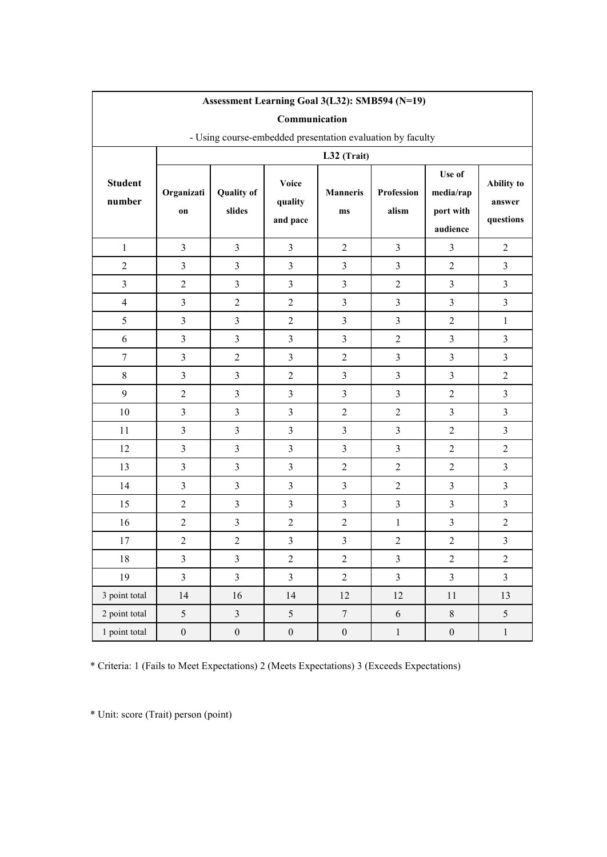| Assessment Learning Goal 3(L32): SMB594 (N=19) |                         |                                                            |                                     |                         |                     |                                              |                                          |
|------------------------------------------------|-------------------------|------------------------------------------------------------|-------------------------------------|-------------------------|---------------------|----------------------------------------------|------------------------------------------|
|                                                | Communication           |                                                            |                                     |                         |                     |                                              |                                          |
|                                                |                         | - Using course-embedded presentation evaluation by faculty |                                     |                         |                     |                                              |                                          |
|                                                | L32 (Trait)             |                                                            |                                     |                         |                     |                                              |                                          |
| <b>Student</b><br>number                       | Organizati<br>on        | <b>Quality of</b><br>slides                                | <b>Voice</b><br>quality<br>and pace | <b>Manneris</b><br>ms   | Profession<br>alism | Use of<br>media/rap<br>port with<br>audience | <b>Ability to</b><br>answer<br>questions |
| $\,1\,$                                        | $\mathfrak{Z}$          | $\mathfrak{Z}$                                             | $\overline{3}$                      | $\overline{2}$          | $\mathfrak{Z}$      | $\mathfrak{Z}$                               | $\mathbf{2}$                             |
| $\sqrt{2}$                                     | $\mathfrak{Z}$          | $\mathfrak{Z}$                                             | $\mathfrak{Z}$                      | $\mathfrak{Z}$          | $\overline{3}$      | $\sqrt{2}$                                   | $\mathfrak{Z}$                           |
| $\mathfrak{Z}$                                 | $\sqrt{2}$              | $\mathfrak{Z}$                                             | $\overline{3}$                      | $\overline{3}$          | $\sqrt{2}$          | $\mathfrak{Z}$                               | $\mathfrak{Z}$                           |
| $\overline{4}$                                 | $\mathfrak{Z}$          | $\sqrt{2}$                                                 | $\mathbf{2}$                        | $\overline{3}$          | $\overline{3}$      | $\overline{\mathbf{3}}$                      | $\mathfrak{Z}$                           |
| 5                                              | $\overline{\mathbf{3}}$ | $\mathfrak{Z}$                                             | $\overline{2}$                      | $\mathfrak{Z}$          | $\overline{3}$      | $\overline{2}$                               | $\mathbf{1}$                             |
| $\sqrt{6}$                                     | $\overline{3}$          | $\mathfrak{Z}$                                             | $\overline{3}$                      | $\overline{3}$          | $\sqrt{2}$          | $\mathfrak{Z}$                               | $\mathfrak{Z}$                           |
| $\tau$                                         | $\overline{\mathbf{3}}$ | $\overline{2}$                                             | $\mathfrak{Z}$                      | $\overline{2}$          | $\mathfrak{Z}$      | $\overline{3}$                               | $\mathfrak{Z}$                           |
| $\,8\,$                                        | $\overline{3}$          | $\mathfrak{Z}$                                             | $\overline{2}$                      | $\overline{\mathbf{3}}$ | $\mathfrak{Z}$      | $\mathfrak{Z}$                               | $\overline{2}$                           |
| 9                                              | $\overline{2}$          | $\mathfrak{Z}$                                             | $\mathfrak{Z}$                      | $\mathfrak{Z}$          | $\mathfrak{Z}$      | $\overline{2}$                               | $\mathfrak{Z}$                           |
| $10\,$                                         | $\overline{3}$          | $\mathfrak{Z}$                                             | $\overline{3}$                      | $\overline{2}$          | $\sqrt{2}$          | $\mathfrak{Z}$                               | $\mathfrak{Z}$                           |
| $11\,$                                         | $\overline{\mathbf{3}}$ | $\mathfrak{Z}$                                             | $\mathfrak{Z}$                      | $\overline{\mathbf{3}}$ | $\mathfrak{Z}$      | $\overline{2}$                               | $\mathfrak{Z}$                           |
| 12                                             | $\overline{3}$          | $\mathfrak{Z}$                                             | $\overline{3}$                      | $\overline{\mathbf{3}}$ | $\mathfrak{Z}$      | $\overline{2}$                               | $\boldsymbol{2}$                         |
| 13                                             | $\overline{3}$          | $\mathfrak{Z}$                                             | $\mathfrak{Z}$                      | $\overline{2}$          | $\overline{2}$      | $\overline{2}$                               | $\mathfrak{Z}$                           |
| 14                                             | $\overline{3}$          | $\mathfrak{Z}$                                             | $\overline{3}$                      | $\overline{\mathbf{3}}$ | $\sqrt{2}$          | $\overline{3}$                               | $\mathfrak{Z}$                           |
| 15                                             | $\overline{2}$          | $\mathfrak{Z}$                                             | $\mathfrak{Z}$                      | $\mathfrak{Z}$          | $\overline{3}$      | $\overline{3}$                               | $\overline{3}$                           |
| 16                                             | $\overline{2}$          | $\overline{3}$                                             | $\overline{2}$                      | $\overline{2}$          | $\mathbf{1}$        | $\overline{3}$                               | $\boldsymbol{2}$                         |
| 17                                             | $\overline{2}$          | $\overline{2}$                                             | $\mathfrak{Z}$                      | $\overline{\mathbf{3}}$ | $\sqrt{2}$          | $\overline{2}$                               | $\mathfrak{Z}$                           |
| $18\,$                                         | $\mathfrak{Z}$          | $\mathfrak{Z}$                                             | $\mathbf{2}$                        | $\sqrt{2}$              | $\mathfrak{Z}$      | $\boldsymbol{2}$                             | $\mathbf{2}$                             |
| 19                                             | $\overline{3}$          | $\overline{\mathbf{3}}$                                    | $\overline{3}$                      | $\overline{2}$          | $\overline{3}$      | $\overline{3}$                               | $\mathfrak{Z}$                           |
| 3 point total                                  | 14                      | 16                                                         | 14                                  | $12\,$                  | 12                  | $11\,$                                       | 13                                       |
| 2 point total                                  | 5                       | $\mathfrak{Z}$                                             | 5                                   | $\overline{7}$          | $\overline{6}$      | $8\,$                                        | $5\overline{)}$                          |
| 1 point total                                  | $\boldsymbol{0}$        | $\boldsymbol{0}$                                           | $\boldsymbol{0}$                    | $\boldsymbol{0}$        | $\,1$               | $\boldsymbol{0}$                             | $\,1$                                    |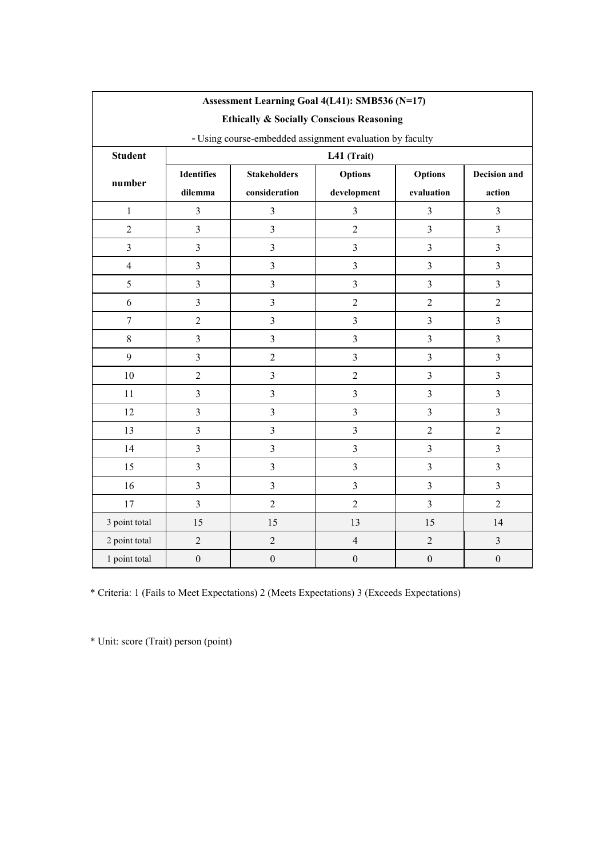|                  | Assessment Learning Goal 4(L41): SMB536 (N=17) |                                                          |                         |                  |                         |  |
|------------------|------------------------------------------------|----------------------------------------------------------|-------------------------|------------------|-------------------------|--|
|                  |                                                | <b>Ethically &amp; Socially Conscious Reasoning</b>      |                         |                  |                         |  |
|                  |                                                | - Using course-embedded assignment evaluation by faculty |                         |                  |                         |  |
| <b>Student</b>   | L41 (Trait)                                    |                                                          |                         |                  |                         |  |
| number           | <b>Identifies</b>                              | <b>Stakeholders</b>                                      | <b>Options</b>          | <b>Options</b>   | <b>Decision and</b>     |  |
|                  | dilemma                                        | consideration                                            | development             | evaluation       | action                  |  |
| $\mathbf{1}$     | $\overline{3}$                                 | $\overline{3}$                                           | $\mathfrak{Z}$          | $\mathfrak{Z}$   | $\overline{3}$          |  |
| $\overline{2}$   | $\overline{3}$                                 | $\overline{3}$                                           | $\overline{2}$          | $\overline{3}$   | $\overline{\mathbf{3}}$ |  |
| $\overline{3}$   | $\overline{3}$                                 | $\overline{3}$                                           | $\overline{3}$          | $\overline{3}$   | $\overline{3}$          |  |
| $\overline{4}$   | $\overline{3}$                                 | $\overline{3}$                                           | $\overline{3}$          | $\overline{3}$   | $\overline{3}$          |  |
| 5                | $\overline{3}$                                 | $\overline{3}$                                           | $\overline{\mathbf{3}}$ | $\overline{3}$   | $\overline{\mathbf{3}}$ |  |
| 6                | $\overline{3}$                                 | $\overline{3}$                                           | $\overline{2}$          | $\overline{2}$   | $\overline{c}$          |  |
| $\boldsymbol{7}$ | $\overline{2}$                                 | $\overline{3}$                                           | $\overline{3}$          | $\overline{3}$   | $\overline{\mathbf{3}}$ |  |
| $8\,$            | $\overline{3}$                                 | $\overline{3}$                                           | $\overline{3}$          | $\overline{3}$   | $\overline{3}$          |  |
| 9                | $\mathfrak{Z}$                                 | $\overline{2}$                                           | $\mathfrak{Z}$          | $\mathfrak{Z}$   | $\overline{\mathbf{3}}$ |  |
| 10               | $\overline{2}$                                 | $\overline{3}$                                           | $\overline{2}$          | $\mathfrak{Z}$   | $\overline{3}$          |  |
| 11               | $\overline{3}$                                 | $\overline{3}$                                           | $\overline{3}$          | $\overline{3}$   | $\overline{3}$          |  |
| 12               | $\overline{3}$                                 | $\overline{3}$                                           | $\overline{3}$          | $\overline{3}$   | $\overline{3}$          |  |
| 13               | $\overline{3}$                                 | $\overline{3}$                                           | $\overline{3}$          | $\overline{2}$   | $\overline{2}$          |  |
| 14               | $\overline{3}$                                 | $\overline{3}$                                           | $\overline{3}$          | $\overline{3}$   | $\overline{3}$          |  |
| 15               | $\overline{3}$                                 | $\overline{3}$                                           | $\overline{3}$          | $\overline{3}$   | $\overline{3}$          |  |
| 16               | $\overline{3}$                                 | $\overline{3}$                                           | $\overline{3}$          | $\mathfrak{Z}$   | $\overline{\mathbf{3}}$ |  |
| 17               | $\overline{3}$                                 | $\overline{2}$                                           | $\overline{2}$          | $\overline{3}$   | $\overline{2}$          |  |
| 3 point total    | 15                                             | 15                                                       | 13                      | 15               | 14                      |  |
| 2 point total    | $\overline{2}$                                 | $\overline{2}$                                           | $\overline{4}$          | $\overline{2}$   | $\overline{3}$          |  |
| 1 point total    | $\boldsymbol{0}$                               | $\boldsymbol{0}$                                         | $\boldsymbol{0}$        | $\boldsymbol{0}$ | $\boldsymbol{0}$        |  |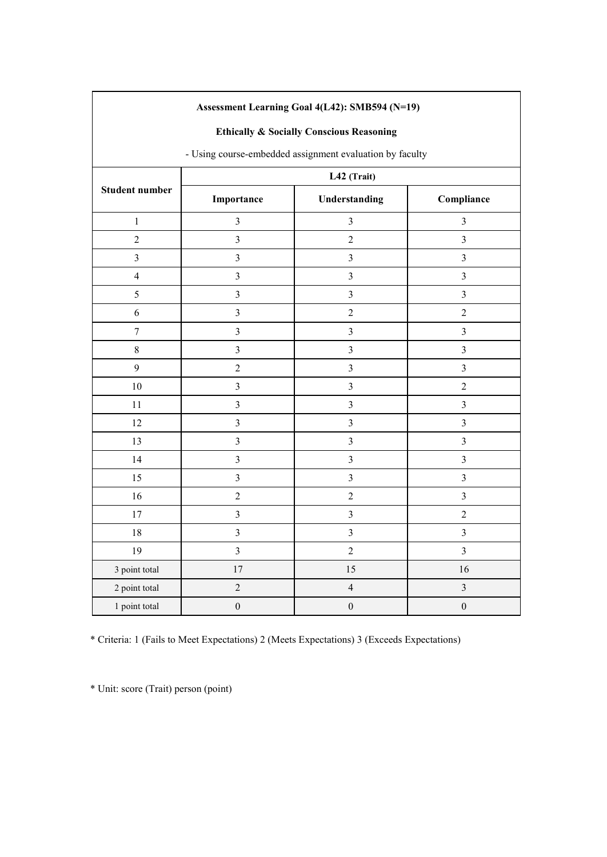| Assessment Learning Goal 4(L42): SMB594 (N=19)      |                                                          |                         |                         |  |  |  |
|-----------------------------------------------------|----------------------------------------------------------|-------------------------|-------------------------|--|--|--|
| <b>Ethically &amp; Socially Conscious Reasoning</b> |                                                          |                         |                         |  |  |  |
|                                                     | - Using course-embedded assignment evaluation by faculty |                         |                         |  |  |  |
|                                                     | L42 (Trait)                                              |                         |                         |  |  |  |
| <b>Student number</b>                               | Importance                                               | Understanding           | Compliance              |  |  |  |
| $\mathbf{1}$                                        | $\mathfrak{Z}$                                           | $\mathfrak{Z}$          | 3                       |  |  |  |
| $\overline{c}$                                      | $\overline{\mathbf{3}}$                                  | $\overline{c}$          | $\mathfrak{Z}$          |  |  |  |
| $\overline{\mathbf{3}}$                             | $\overline{\mathbf{3}}$                                  | $\overline{\mathbf{3}}$ | $\mathfrak{Z}$          |  |  |  |
| $\overline{4}$                                      | $\mathfrak{Z}$                                           | $\overline{\mathbf{3}}$ | $\mathfrak{Z}$          |  |  |  |
| 5                                                   | $\mathfrak{Z}$                                           | $\overline{\mathbf{3}}$ | $\mathfrak{Z}$          |  |  |  |
| 6                                                   | $\overline{\mathbf{3}}$                                  | $\overline{2}$          | $\sqrt{2}$              |  |  |  |
| $\tau$                                              | $\overline{3}$                                           | $\overline{3}$          | $\mathfrak{Z}$          |  |  |  |
| $8\,$                                               | $\mathfrak{Z}$                                           | $\overline{3}$          | $\mathfrak{Z}$          |  |  |  |
| 9                                                   | $\sqrt{2}$                                               | $\overline{\mathbf{3}}$ | $\mathfrak{Z}$          |  |  |  |
| $10\,$                                              | $\overline{3}$                                           | $\overline{3}$          | $\sqrt{2}$              |  |  |  |
| $11\,$                                              | $\mathfrak{Z}$                                           | $\overline{\mathbf{3}}$ | $\mathfrak{Z}$          |  |  |  |
| 12                                                  | $\overline{3}$                                           | $\overline{\mathbf{3}}$ | $\mathfrak{Z}$          |  |  |  |
| 13                                                  | $\overline{3}$                                           | $\overline{3}$          | $\overline{3}$          |  |  |  |
| 14                                                  | $\overline{\mathbf{3}}$                                  | $\overline{\mathbf{3}}$ | $\mathfrak{Z}$          |  |  |  |
| 15                                                  | $\overline{3}$                                           | $\overline{\mathbf{3}}$ | $\mathfrak{Z}$          |  |  |  |
| 16                                                  | $\sqrt{2}$                                               | $\overline{c}$          | $\mathfrak{Z}$          |  |  |  |
| $17\,$                                              | $\overline{\mathbf{3}}$                                  | $\overline{3}$          | $\overline{2}$          |  |  |  |
| 18                                                  | $\mathfrak{Z}$                                           | $\overline{3}$          | $\overline{\mathbf{3}}$ |  |  |  |
| 19                                                  | $\mathfrak{Z}$                                           | $\overline{c}$          | $\mathfrak{Z}$          |  |  |  |
| 3 point total                                       | $17\,$                                                   | 15                      | 16                      |  |  |  |
| 2 point total                                       | $\sqrt{2}$                                               | $\overline{4}$          | $\mathfrak{Z}$          |  |  |  |
| 1 point total                                       | $\boldsymbol{0}$                                         | $\boldsymbol{0}$        | $\boldsymbol{0}$        |  |  |  |

\* Unit: score (Trait) person (point)

 $\Gamma$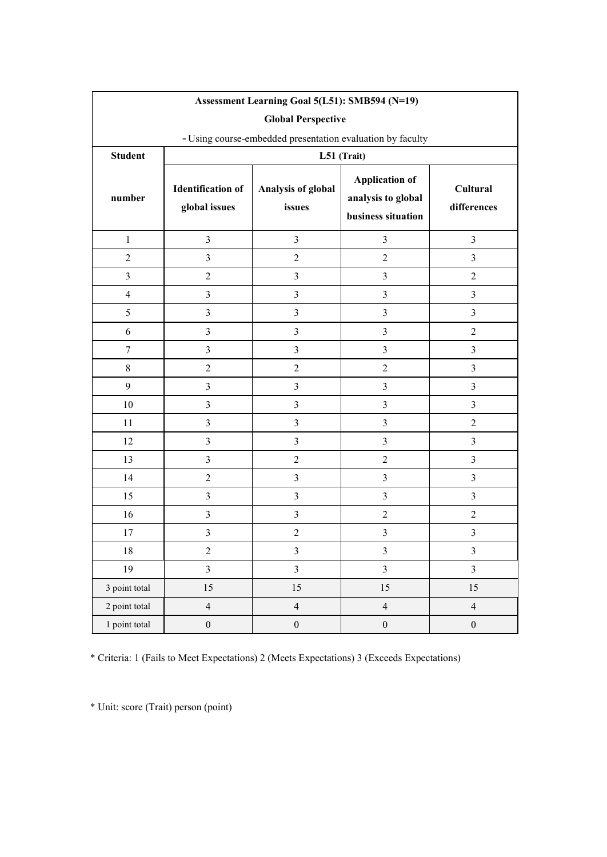| Assessment Learning Goal 5(L51): SMB594 (N=19) |                                           |                                                            |                                                                   |                         |  |  |
|------------------------------------------------|-------------------------------------------|------------------------------------------------------------|-------------------------------------------------------------------|-------------------------|--|--|
|                                                |                                           | <b>Global Perspective</b>                                  |                                                                   |                         |  |  |
|                                                |                                           | - Using course-embedded presentation evaluation by faculty |                                                                   |                         |  |  |
| <b>Student</b>                                 | L51 (Trait)                               |                                                            |                                                                   |                         |  |  |
| number                                         | <b>Identification of</b><br>global issues | Analysis of global<br>issues                               | <b>Application of</b><br>analysis to global<br>business situation | Cultural<br>differences |  |  |
| $\mathbf{1}$                                   | $\mathfrak{Z}$                            | $\mathfrak{Z}$                                             | $\mathfrak{Z}$                                                    | $\mathfrak{Z}$          |  |  |
| $\overline{2}$                                 | $\overline{3}$                            | $\overline{2}$                                             | $\overline{2}$                                                    | $\overline{3}$          |  |  |
| $\mathfrak{Z}$                                 | $\overline{2}$                            | $\mathfrak{Z}$                                             | $\overline{\mathbf{3}}$                                           | $\overline{2}$          |  |  |
| $\overline{4}$                                 | $\mathfrak{Z}$                            | $\overline{3}$                                             | $\overline{3}$                                                    | $\overline{3}$          |  |  |
| 5                                              | $\mathfrak{Z}$                            | $\overline{\mathbf{3}}$                                    | $\overline{\mathbf{3}}$                                           | $\overline{3}$          |  |  |
| 6                                              | $\mathfrak{Z}$                            | $\overline{\mathbf{3}}$                                    | $\overline{3}$                                                    | $\overline{2}$          |  |  |
| $\boldsymbol{7}$                               | $\mathfrak{Z}$                            | $\overline{\mathbf{3}}$                                    | $\overline{3}$                                                    | $\overline{3}$          |  |  |
| $\,8\,$                                        | $\overline{2}$                            | $\overline{2}$                                             | $\overline{2}$                                                    | $\overline{3}$          |  |  |
| 9                                              | $\overline{3}$                            | $\overline{\mathbf{3}}$                                    | $\overline{\mathbf{3}}$                                           | $\overline{3}$          |  |  |
| 10                                             | $\overline{3}$                            | $\overline{\mathbf{3}}$                                    | $\overline{3}$                                                    | $\overline{3}$          |  |  |
| 11                                             | $\overline{3}$                            | $\overline{\mathbf{3}}$                                    | $\overline{3}$                                                    | $\overline{2}$          |  |  |
| 12                                             | $\overline{3}$                            | $\overline{\mathbf{3}}$                                    | $\overline{3}$                                                    | $\overline{3}$          |  |  |
| 13                                             | $\overline{3}$                            | $\overline{2}$                                             | $\overline{2}$                                                    | $\overline{3}$          |  |  |
| 14                                             | $\overline{2}$                            | $\overline{\mathbf{3}}$                                    | $\overline{\mathbf{3}}$                                           | $\overline{3}$          |  |  |
| 15                                             | $\overline{3}$                            | $\overline{\mathbf{3}}$                                    | $\overline{3}$                                                    | $\overline{3}$          |  |  |
| 16                                             | $\mathfrak{Z}$                            | $\overline{3}$                                             | $\overline{2}$                                                    | $\overline{2}$          |  |  |
| 17                                             | $\overline{3}$                            | $\sqrt{2}$                                                 | $\mathfrak{Z}$                                                    | $\mathfrak{Z}$          |  |  |
| $18\,$                                         | 2                                         | 3                                                          | 3                                                                 | 3                       |  |  |
| 19                                             | $\overline{3}$                            | $\overline{3}$                                             | $\overline{3}$                                                    | $\overline{\mathbf{3}}$ |  |  |
| 3 point total                                  | 15                                        | 15                                                         | 15                                                                | 15                      |  |  |
| 2 point total                                  | $\overline{4}$                            | $\overline{4}$                                             | $\overline{4}$                                                    | $\overline{4}$          |  |  |
| 1 point total                                  | $\boldsymbol{0}$                          | $\boldsymbol{0}$                                           | $\boldsymbol{0}$                                                  | $\boldsymbol{0}$        |  |  |